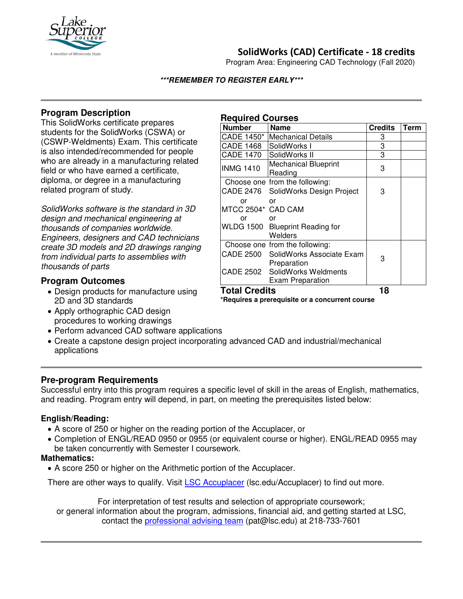

## **SolidWorks (CAD) Certificate - 18 credits**

Program Area: Engineering CAD Technology (Fall 2020)

#### **\*\*\*REMEMBER TO REGISTER EARLY\*\*\***

## **Program Description**

This SolidWorks certificate prepares students for the SolidWorks (CSWA) or (CSWP-Weldments) Exam. This certificate is also intended/recommended for people who are already in a manufacturing related field or who have earned a certificate, diploma, or degree in a manufacturing related program of study.

*SolidWorks software is the standard in 3D design and mechanical engineering at thousands of companies worldwide. Engineers, designers and CAD technicians create 3D models and 2D drawings ranging from individual parts to assemblies with thousands of parts*

## **Program Outcomes**

- Design products for manufacture using 2D and 3D standards
- Apply orthographic CAD design procedures to working drawings
- Perform advanced CAD software applications
- Create a capstone design project incorporating advanced CAD and industrial/mechanical applications

## **Pre-program Requirements**

Successful entry into this program requires a specific level of skill in the areas of English, mathematics, and reading. Program entry will depend, in part, on meeting the prerequisites listed below:

## **English/Reading:**

- A score of 250 or higher on the reading portion of the Accuplacer, or
- Completion of ENGL/READ 0950 or 0955 (or equivalent course or higher). ENGL/READ 0955 may be taken concurrently with Semester I coursework.

#### **Mathematics:**

• A score 250 or higher on the Arithmetic portion of the Accuplacer.

There are other ways to qualify. Visit **[LSC Accuplacer](https://www.lsc.edu/accuplacer/)** (Isc.edu/Accuplacer) to find out more.

For interpretation of test results and selection of appropriate coursework; or general information about the program, admissions, financial aid, and getting started at LSC, contact the [professional advising team](mailto:pat@lsc.edu) (pat@lsc.edu) at 218-733-7601

# **Required Courses**

| <b>Number</b>        | <b>Name</b>                            | <b>Credits</b> | Term |
|----------------------|----------------------------------------|----------------|------|
| CADE 1450*           | <b>Mechanical Details</b>              | 3              |      |
| <b>CADE 1468</b>     | SolidWorks I                           | 3              |      |
| <b>CADE 1470</b>     | SolidWorks II                          | 3              |      |
| <b>INMG 1410</b>     | <b>Mechanical Blueprint</b><br>Reading | 3              |      |
|                      | Choose one from the following:         |                |      |
|                      | CADE 2476 SolidWorks Design Project    | 3              |      |
| or                   | or                                     |                |      |
| MTCC 2504* CAD CAM   |                                        |                |      |
| or                   | or                                     |                |      |
|                      | WLDG 1500 Blueprint Reading for        |                |      |
|                      | Welders                                |                |      |
|                      | Choose one from the following:         |                |      |
|                      | CADE 2500 SolidWorks Associate Exam    | 3              |      |
|                      | Preparation                            |                |      |
|                      | CADE 2502 SolidWorks Weldments         |                |      |
|                      | <b>Exam Preparation</b>                |                |      |
| <b>Total Credits</b> |                                        | 18             |      |

**\*Requires a prerequisite or a concurrent course**